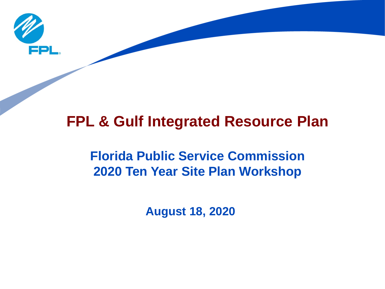

## **FPL & Gulf Integrated Resource Plan**

## **Florida Public Service Commission 2020 Ten Year Site Plan Workshop**

**August 18, 2020**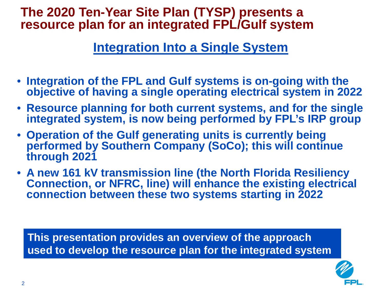#### **The 2020 Ten-Year Site Plan (TYSP) presents a resource plan for an integrated FPL/Gulf system**

#### **Integration Into a Single System**

- **Integration of the FPL and Gulf systems is on-going with the objective of having a single operating electrical system in 2022**
- **Resource planning for both current systems, and for the single integrated system, is now being performed by FPL's IRP group**
- **Operation of the Gulf generating units is currently being performed by Southern Company (SoCo); this will continue through 2021**
- **A new 161 kV transmission line (the North Florida Resiliency Connection, or NFRC, line) will enhance the existing electrical connection between these two systems starting in 2022**

**This presentation provides an overview of the approach used to develop the resource plan for the integrated system**

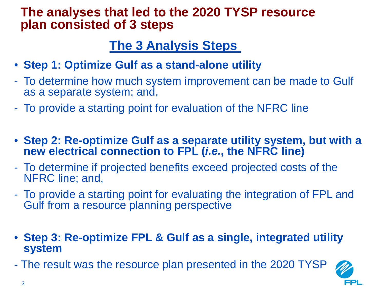#### **The analyses that led to the 2020 TYSP resource plan consisted of 3 steps**

### **The 3 Analysis Steps**

- **Step 1: Optimize Gulf as a stand-alone utility**
- To determine how much system improvement can be made to Gulf as a separate system; and,
- To provide a starting point for evaluation of the NFRC line
- **Step 2: Re-optimize Gulf as a separate utility system, but with a new electrical connection to FPL (***i.e.***, the NFRC line)**
- To determine if projected benefits exceed projected costs of the NFRC line; and,
- To provide a starting point for evaluating the integration of FPL and Gulf from a resource planning perspective
- **Step 3: Re-optimize FPL & Gulf as a single, integrated utility system**
- The result was the resource plan presented in the 2020 TYSP

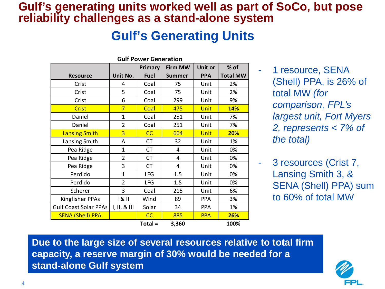#### **Gulf's generating units worked well as part of SoCo, but pose reliability challenges as a stand-alone system**

#### **Gulf's Generating Units**

| <b>Gulf Power Generation</b> |                |                |                |            |                 |  |  |  |  |
|------------------------------|----------------|----------------|----------------|------------|-----------------|--|--|--|--|
|                              |                | <b>Primary</b> | <b>Firm MW</b> | Unit or    | % of            |  |  |  |  |
| <b>Resource</b>              | Unit No.       | <b>Fuel</b>    | <b>Summer</b>  | <b>PPA</b> | <b>Total MW</b> |  |  |  |  |
| Crist                        | 4              | Coal           | 75             | Unit       | 2%              |  |  |  |  |
| Crist                        | 5              | Coal           | 75             | Unit       | 2%              |  |  |  |  |
| Crist                        | 6              | Coal           | 299            | Unit       | 9%              |  |  |  |  |
| Crist                        | $\overline{7}$ | Coal           | 475            | Unit       | 14%             |  |  |  |  |
| Daniel                       | $\mathbf{1}$   | Coal           | 251            | Unit       | 7%              |  |  |  |  |
| Daniel                       | $\overline{2}$ | Coal           | 251            | Unit       | 7%              |  |  |  |  |
| <b>Lansing Smith</b>         | $\overline{3}$ | CC             | 664            | Unit       | 20%             |  |  |  |  |
| Lansing Smith                | A              | <b>CT</b>      | 32             | Unit       | 1%              |  |  |  |  |
| Pea Ridge                    | 1              | <b>CT</b>      | 4              | Unit       | 0%              |  |  |  |  |
| Pea Ridge                    | $\overline{2}$ | <b>CT</b>      | 4              | Unit       | 0%              |  |  |  |  |
| Pea Ridge                    | 3              | <b>CT</b>      | 4              | Unit       | 0%              |  |  |  |  |
| Perdido                      | $\mathbf{1}$   | <b>LFG</b>     | 1.5            | Unit       | 0%              |  |  |  |  |
| Perdido                      | $\overline{2}$ | <b>LFG</b>     | 1.5            | Unit       | 0%              |  |  |  |  |
| Scherer                      | 3              | Coal           | 215            | Unit       | 6%              |  |  |  |  |
| Kingfisher PPAs              | 181            | Wind           | 89             | <b>PPA</b> | 3%              |  |  |  |  |
| <b>Gulf Coast Solar PPAs</b> | I, II, 8       | Solar          | 34             | PPA        | 1%              |  |  |  |  |
| <b>SENA (Shell) PPA</b>      |                | CC             | 885            | <b>PPA</b> | 26%             |  |  |  |  |
|                              |                | Total =        | 3,360          |            | 100%            |  |  |  |  |

1 resource, SENA (Shell) PPA, is 26% of total MW *(for comparison, FPL's largest unit, Fort Myers 2, represents < 7% of the total)*

3 resources (Crist 7, Lansing Smith 3, & SENA (Shell) PPA) sum to 60% of total MW

**Due to the large size of several resources relative to total firm capacity, a reserve margin of 30% would be needed for a stand-alone Gulf system**

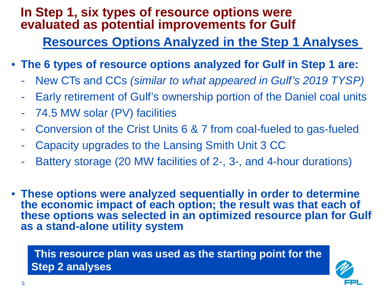#### **In Step 1, six types of resource options were evaluated as potential improvements for Gulf**

#### **Resources Options Analyzed in the Step 1 Analyses**

- **The 6 types of resource options analyzed for Gulf in Step 1 are:**
	- New CTs and CCs *(similar to what appeared in Gulf's 2019 TYSP)*
	- Early retirement of Gulf's ownership portion of the Daniel coal units
	- 74.5 MW solar (PV) facilities
	- Conversion of the Crist Units 6 & 7 from coal-fueled to gas-fueled
	- Capacity upgrades to the Lansing Smith Unit 3 CC
	- Battery storage (20 MW facilities of 2-, 3-, and 4-hour durations)
- **These options were analyzed sequentially in order to determine the economic impact of each option; the result was that each of these options was selected in an optimized resource plan for Gulf as a stand-alone utility system**

**This resource plan was used as the starting point for the Step 2 analyses** 

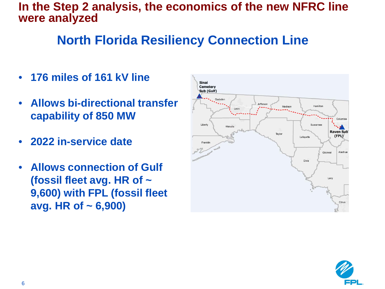#### **In the Step 2 analysis, the economics of the new NFRC line were analyzed**

## **North Florida Resiliency Connection Line**

- **176 miles of 161 kV line**
- **Allows bi-directional transfer capability of 850 MW**
- **2022 in-service date**
- **Allows connection of Gulf (fossil fleet avg. HR of ~ 9,600) with FPL (fossil fleet avg. HR of ~ 6,900)**



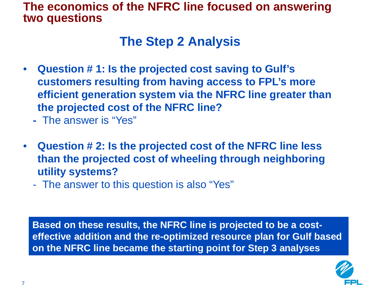#### **The economics of the NFRC line focused on answering two questions**

#### **The Step 2 Analysis**

- **Question # 1: Is the projected cost saving to Gulf's customers resulting from having access to FPL's more efficient generation system via the NFRC line greater than the projected cost of the NFRC line?**
	- **-** The answer is "Yes"
- **Question # 2: Is the projected cost of the NFRC line less than the projected cost of wheeling through neighboring utility systems?**
	- The answer to this question is also "Yes"

**Based on these results, the NFRC line is projected to be a costeffective addition and the re-optimized resource plan for Gulf based on the NFRC line became the starting point for Step 3 analyses**

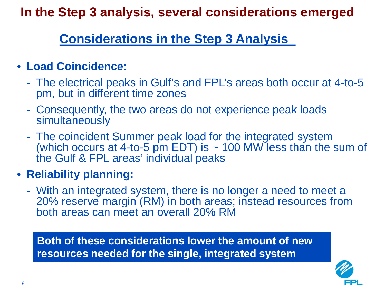**In the Step 3 analysis, several considerations emerged**

## **Considerations in the Step 3 Analysis**

#### • **Load Coincidence:**

- The electrical peaks in Gulf's and FPL's areas both occur at 4-to-5 pm, but in different time zones
- Consequently, the two areas do not experience peak loads simultaneously
- The coincident Summer peak load for the integrated system (which occurs at 4-to-5 pm EDT) is  $\sim$  100 MW less than the sum of the Gulf & FPL areas' individual peaks

#### • **Reliability planning:**

- With an integrated system, there is no longer a need to meet a 20% reserve margin (RM) in both areas; instead resources from both areas can meet an overall 20% RM

**Both of these considerations lower the amount of new resources needed for the single, integrated system**

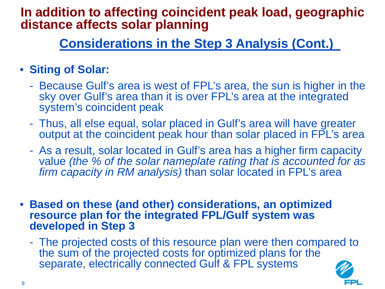#### **In addition to affecting coincident peak load, geographic distance affects solar planning**

## **Considerations in the Step 3 Analysis (Cont.)**

#### • **Siting of Solar:**

- Because Gulf's area is west of FPL's area, the sun is higher in the sky over Gulf's area than it is over FPL's area at the integrated system's coincident peak
- Thus, all else equal, solar placed in Gulf's area will have greater output at the coincident peak hour than solar placed in FPL's area
- As a result, solar located in Gulf's area has a higher firm capacity value *(the % of the solar nameplate rating that is accounted for as firm capacity in RM analysis*) than solar located in FPL's area
- **Based on these (and other) considerations, an optimized resource plan for the integrated FPL/Gulf system was developed in Step 3**
	- The projected costs of this resource plan were then compared to the sum of the projected costs for optimized plans for the separate, electrically connected Gulf & FPL systems

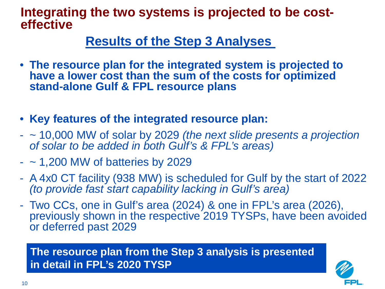# **Integrating the two systems is projected to be cost- effective**

#### **Results of the Step 3 Analyses**

- **The resource plan for the integrated system is projected to have a lower cost than the sum of the costs for optimized stand-alone Gulf & FPL resource plans**
- **Key features of the integrated resource plan:**
- ~ 10,000 MW of solar by 2029 *(the next slide presents a projection of solar to be added in both Gulf's & FPL's areas)*
- $-$  ~ 1,200 MW of batteries by 2029
- A 4x0 CT facility (938 MW) is scheduled for Gulf by the start of 2022 *(to provide fast start capability lacking in Gulf's area)*
- Two CCs, one in Gulf's area (2024) & one in FPL's area (2026), previously shown in the respective 2019 TYSPs, have been avoided or deferred past 2029

**The resource plan from the Step 3 analysis is presented in detail in FPL's 2020 TYSP**

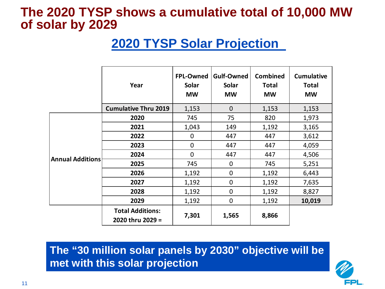#### **The 2020 TYSP shows a cumulative total of 10,000 MW of solar by 2029**

## **2020 TYSP Solar Projection**

|                         | Year                                        | FPL-Owned<br><b>Solar</b><br><b>MW</b> | <b>Gulf-Owned</b><br><b>Solar</b><br><b>MW</b> | <b>Combined</b><br><b>Total</b><br><b>MW</b> | <b>Cumulative</b><br><b>Total</b><br><b>MW</b> |
|-------------------------|---------------------------------------------|----------------------------------------|------------------------------------------------|----------------------------------------------|------------------------------------------------|
|                         | <b>Cumulative Thru 2019</b>                 | 1,153                                  | $\mathbf{0}$                                   | 1,153                                        | 1,153                                          |
| <b>Annual Additions</b> | 2020                                        | 745                                    | 75                                             | 820                                          | 1,973                                          |
|                         | 2021                                        | 1,043                                  | 149                                            | 1,192                                        | 3,165                                          |
|                         | 2022                                        | 0                                      | 447                                            | 447                                          | 3,612                                          |
|                         | 2023                                        | $\mathbf 0$                            | 447                                            | 447                                          | 4,059                                          |
|                         | 2024                                        | $\mathbf 0$                            | 447                                            | 447                                          | 4,506                                          |
|                         | 2025                                        | 745                                    | $\mathbf 0$                                    | 745                                          | 5,251                                          |
|                         | 2026                                        | 1,192                                  | $\mathbf 0$                                    | 1,192                                        | 6,443                                          |
|                         | 2027                                        | 1,192                                  | $\mathbf 0$                                    | 1,192                                        | 7,635                                          |
|                         | 2028                                        | 1,192                                  | $\mathbf 0$                                    | 1,192                                        | 8,827                                          |
|                         | 2029                                        | 1,192                                  | $\mathbf 0$                                    | 1,192                                        | 10,019                                         |
|                         | <b>Total Additions:</b><br>2020 thru 2029 = | 7,301                                  | 1,565                                          | 8,866                                        |                                                |

**The "30 million solar panels by 2030" objective will be met with this solar projection**